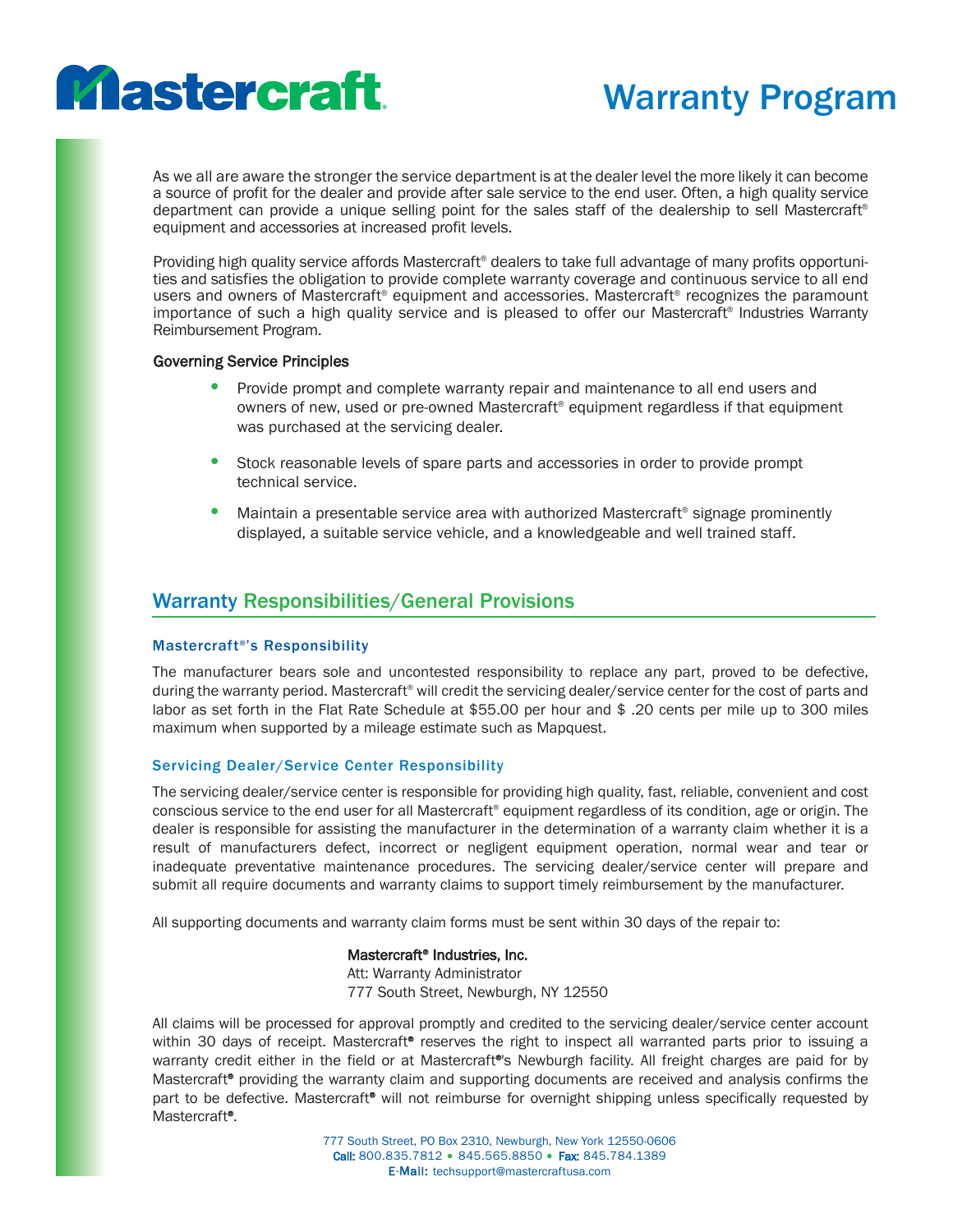

# Warranty Program

As we all are aware the stronger the service department is at the dealer level the more likely it can become a source of profit for the dealer and provide after sale service to the end user. Often, a high quality service department can provide a unique selling point for the sales staff of the dealership to sell Mastercraft® equipment and accessories at increased profit levels.

Providing high quality service affords Mastercraft® dealers to take full advantage of many profits opportunities and satisfies the obligation to provide complete warranty coverage and continuous service to all end users and owners of Mastercraft® equipment and accessories. Mastercraft® recognizes the paramount importance of such a high quality service and is pleased to offer our Mastercraft® Industries Warranty Reimbursement Program.

#### Governing Service Principles

- Provide prompt and complete warranty repair and maintenance to all end users and owners of new, used or pre-owned Mastercraft® equipment regardless if that equipment was purchased at the servicing dealer.
- Stock reasonable levels of spare parts and accessories in order to provide prompt technical service.
- Maintain a presentable service area with authorized Mastercraft® signage prominently displayed, a suitable service vehicle, and a knowledgeable and well trained staff.

### Warranty Responsibilities/General Provisions

#### Mastercraft®'s Responsibility

The manufacturer bears sole and uncontested responsibility to replace any part, proved to be defective, during the warranty period. Mastercraft® will credit the servicing dealer/service center for the cost of parts and labor as set forth in the Flat Rate Schedule at \$55.00 per hour and \$ .20 cents per mile up to 300 miles maximum when supported by a mileage estimate such as Mapquest.

#### Servicing Dealer/Service Center Responsibility

The servicing dealer/service center is responsible for providing high quality, fast, reliable, convenient and cost conscious service to the end user for all Mastercraft® equipment regardless of its condition, age or origin. The dealer is responsible for assisting the manufacturer in the determination of a warranty claim whether it is a result of manufacturers defect, incorrect or negligent equipment operation, normal wear and tear or inadequate preventative maintenance procedures. The servicing dealer/service center will prepare and submit all require documents and warranty claims to support timely reimbursement by the manufacturer.

All supporting documents and warranty claim forms must be sent within 30 days of the repair to:

#### Mastercraft ® Industries, Inc.

Att: Warranty Administrator 777 South Street, Newburgh, NY 12550

All claims will be processed for approval promptly and credited to the servicing dealer/service center account within 30 days of receipt. Mastercraft<sup>®</sup> reserves the right to inspect all warranted parts prior to issuing a warranty credit either in the field or at Mastercraft<sup>®</sup>'s Newburgh facility. All freight charges are paid for by Mastercraft<sup>®</sup> providing the warranty claim and supporting documents are received and analysis confirms the part to be defective. Mastercraft<sup>®</sup> will not reimburse for overnight shipping unless specifically requested by Mastercraft<sup>®</sup>.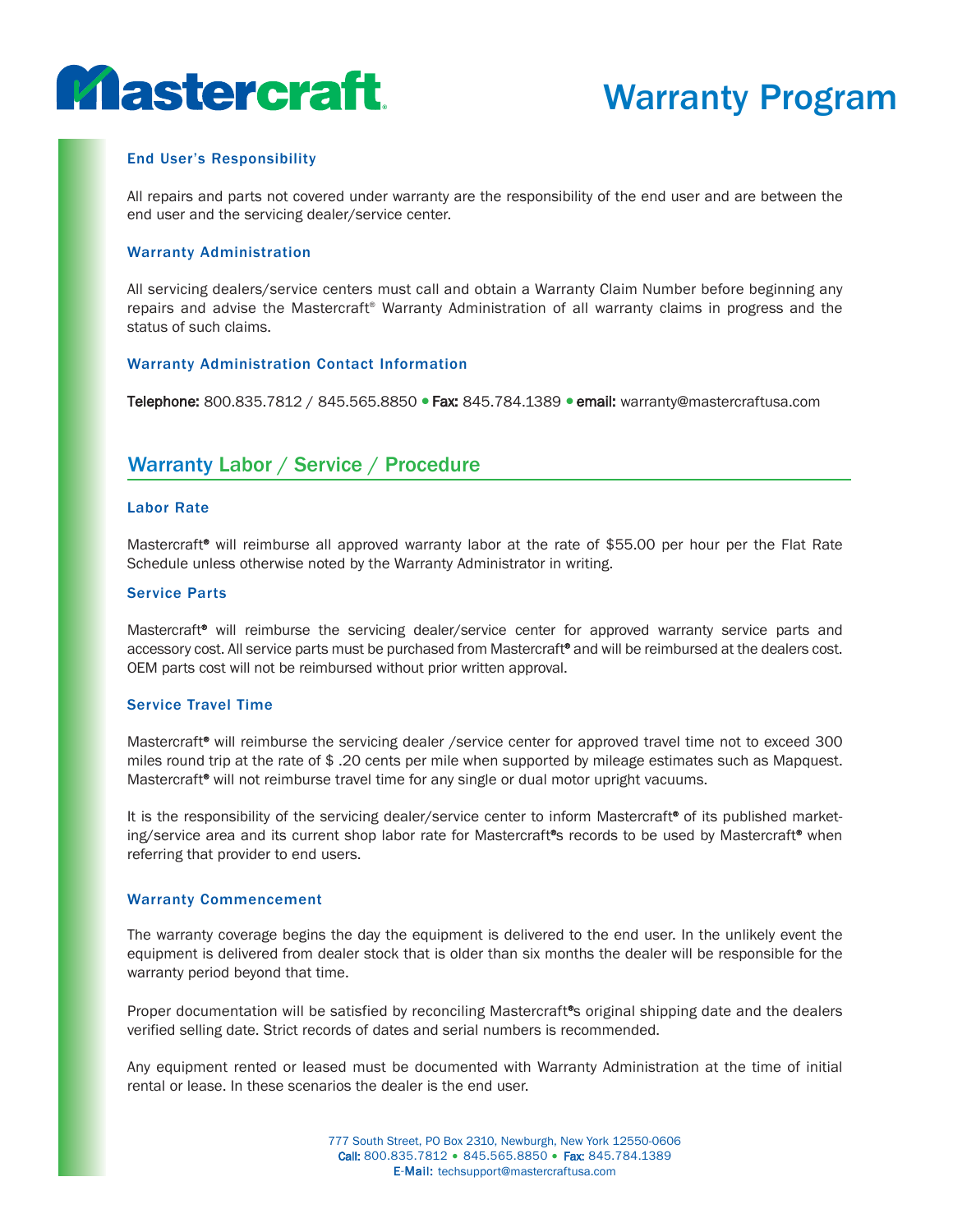

#### End User's Responsibility

All repairs and parts not covered under warranty are the responsibility of the end user and are between the end user and the servicing dealer/service center.

#### Warranty Administration

All servicing dealers/service centers must call and obtain a Warranty Claim Number before beginning any repairs and advise the Mastercraft® Warranty Administration of all warranty claims in progress and the status of such claims.

#### Warranty Administration Contact Information

Telephone: 800.835.7812 / 845.565.8850 · Fax: 845.784.1389 · email: warranty@mastercraftusa.com

### Warranty Labor / Service / Procedure

#### Labor Rate

Mastercraft<sup>®</sup> will reimburse all approved warranty labor at the rate of \$55.00 per hour per the Flat Rate Schedule unless otherwise noted by the Warranty Administrator in writing.

#### Service Parts

Mastercraft<sup>®</sup> will reimburse the servicing dealer/service center for approved warranty service parts and accessory cost. All service parts must be purchased from Mastercraft<sup>®</sup> and will be reimbursed at the dealers cost. OEM parts cost will not be reimbursed without prior written approval.

#### Service Travel Time

Mastercraft<sup>®</sup> will reimburse the servicing dealer /service center for approved travel time not to exceed 300 miles round trip at the rate of \$ .20 cents per mile when supported by mileage estimates such as Mapquest. Mastercraft<sup>®</sup> will not reimburse travel time for any single or dual motor upright vacuums.

It is the responsibility of the servicing dealer/service center to inform Mastercraft<sup>®</sup> of its published marketing/service area and its current shop labor rate for Mastercraft<sup>®</sup>s records to be used by Mastercraft<sup>®</sup> when referring that provider to end users.

#### Warranty Commencement

The warranty coverage begins the day the equipment is delivered to the end user. In the unlikely event the equipment is delivered from dealer stock that is older than six months the dealer will be responsible for the warranty period beyond that time.

Proper documentation will be satisfied by reconciling Mastercraft<sup>®</sup>s original shipping date and the dealers verified selling date. Strict records of dates and serial numbers is recommended.

Any equipment rented or leased must be documented with Warranty Administration at the time of initial rental or lease. In these scenarios the dealer is the end user.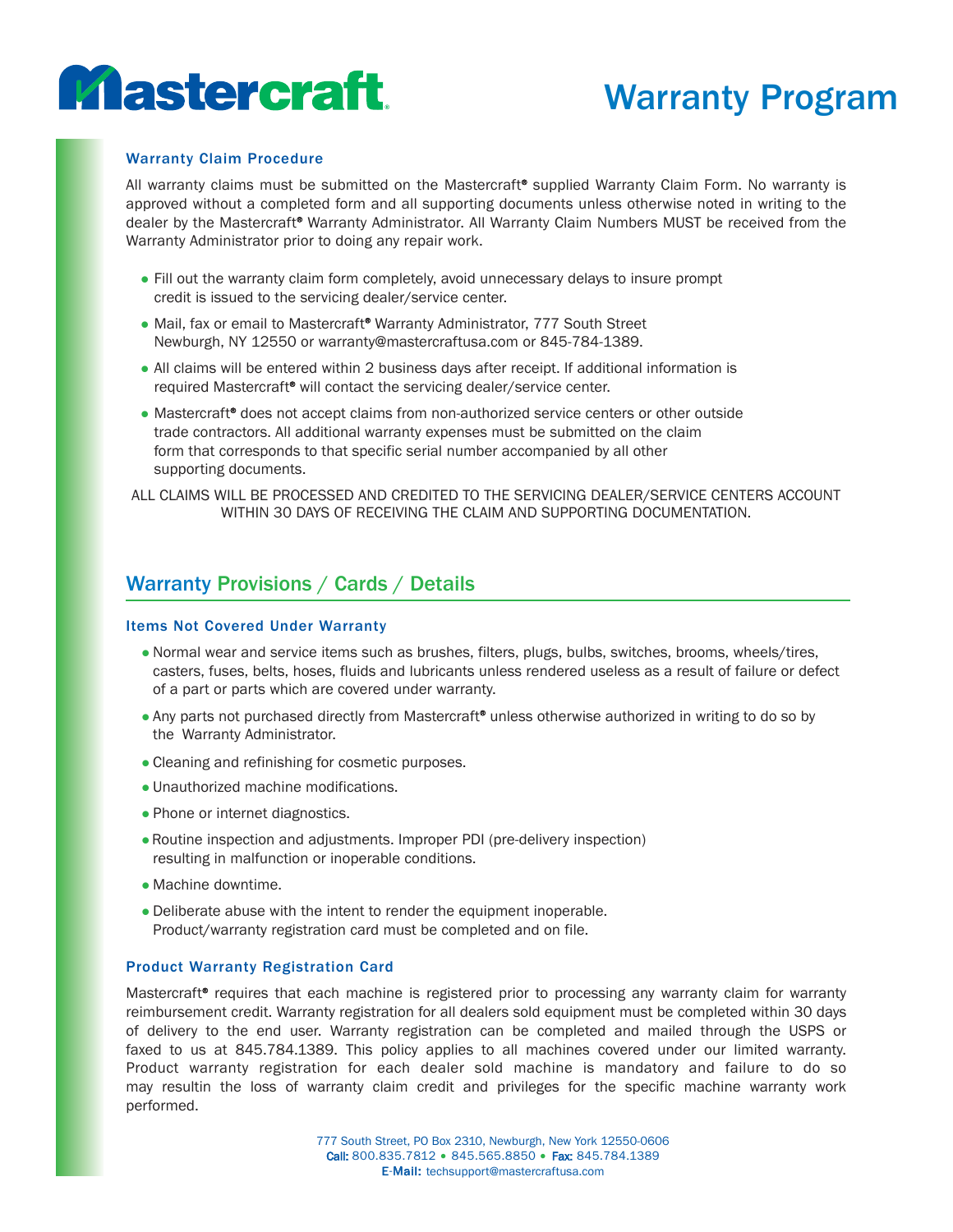

#### Warranty Claim Procedure

All warranty claims must be submitted on the Mastercraft<sup>®</sup> supplied Warranty Claim Form. No warranty is approved without a completed form and all supporting documents unless otherwise noted in writing to the dealer by the Mastercraft<sup>®</sup> Warranty Administrator. All Warranty Claim Numbers MUST be received from the Warranty Administrator prior to doing any repair work.

- Fill out the warranty claim form completely, avoid unnecessary delays to insure prompt credit is issued to the servicing dealer/service center.
- Mail, fax or email to Mastercraft<sup>®</sup> Warranty Administrator, 777 South Street Newburgh, NY 12550 or warranty@mastercraftusa.com or 845-784-1389.
- All claims will be entered within 2 business days after receipt. If additional information is required Mastercraft® will contact the servicing dealer/service center.
- Mastercraft<sup>®</sup> does not accept claims from non-authorized service centers or other outside trade contractors. All additional warranty expenses must be submitted on the claim form that corresponds to that specific serial number accompanied by all other supporting documents.
- ALL CLAIMS WILL BE PROCESSED AND CREDITED TO THE SERVICING DEALER/SERVICE CENTERS ACCOUNT WITHIN 30 DAYS OF RECEIVING THE CLAIM AND SUPPORTING DOCUMENTATION.

### Warranty Provisions / Cards / Details

#### Items Not Covered Under Warranty

- Normal wear and service items such as brushes, filters, plugs, bulbs, switches, brooms, wheels/tires, casters, fuses, belts, hoses, fluids and lubricants unless rendered useless as a result of failure or defect of a part or parts which are covered under warranty.
- Any parts not purchased directly from Mastercraft® unless otherwise authorized in writing to do so by the Warranty Administrator.
- Cleaning and refinishing for cosmetic purposes.
- Unauthorized machine modifications.
- Phone or internet diagnostics.
- Routine inspection and adjustments. Improper PDI (pre-delivery inspection) resulting in malfunction or inoperable conditions.
- Machine downtime.
- Deliberate abuse with the intent to render the equipment inoperable. Product/warranty registration card must be completed and on file.

#### Product Warranty Registration Card

Mastercraft<sup>®</sup> requires that each machine is registered prior to processing any warranty claim for warranty reimbursement credit. Warranty registration for all dealers sold equipment must be completed within 30 days of delivery to the end user. Warranty registration can be completed and mailed through the USPS or faxed to us at 845.784.1389. This policy applies to all machines covered under our limited warranty. Product warranty registration for each dealer sold machine is mandatory and failure to do so may resultin the loss of warranty claim credit and privileges for the specific machine warranty work performed.